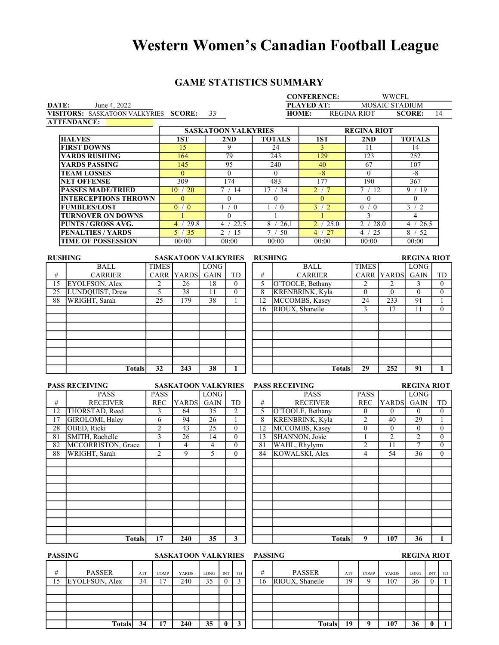# Western Women's Canadian Football League

## GAME STATISTICS SUMMARY

|                 |                                      |                 |                 |                                 |                            |                 |                                                                           |                     |                 |                       | <b>CONFERENCE:</b>     |                 |                    | <b>WWCFL</b>      |                    |                                |
|-----------------|--------------------------------------|-----------------|-----------------|---------------------------------|----------------------------|-----------------|---------------------------------------------------------------------------|---------------------|-----------------|-----------------------|------------------------|-----------------|--------------------|-------------------|--------------------|--------------------------------|
| DATE:           | June 4, 2022                         |                 |                 |                                 |                            |                 | <b>PLAYED AT:</b><br><b>MOSAIC STADIUM</b><br>HOME:<br><b>REGINA RIOT</b> |                     |                 |                       |                        |                 |                    |                   |                    |                                |
|                 | VISITORS: SASKATOON VALKYRIES SCORE: |                 |                 |                                 | 33                         |                 |                                                                           |                     |                 |                       |                        |                 |                    |                   | <b>SCORE:</b>      | 14                             |
|                 | <b>ATTENDANCE:</b>                   |                 |                 |                                 |                            |                 |                                                                           |                     |                 |                       |                        |                 |                    |                   |                    |                                |
|                 |                                      |                 |                 |                                 | <b>SASKATOON VALKYRIES</b> |                 |                                                                           |                     |                 |                       |                        |                 | <b>REGINA RIOT</b> |                   |                    |                                |
|                 | <b>HALVES</b>                        |                 |                 | 1ST                             |                            | 2ND             |                                                                           |                     |                 | <b>TOTALS</b>         | $\overline{1ST}$       |                 | 2ND                |                   | <b>TOTALS</b>      |                                |
|                 | <b>FIRST DOWNS</b>                   |                 |                 | 15                              |                            | $\overline{9}$  |                                                                           |                     |                 | 24                    | 3                      |                 | 11                 |                   | 14                 |                                |
|                 | <b>YARDS RUSHING</b>                 |                 |                 | 164                             |                            | $\overline{79}$ |                                                                           |                     |                 | $\overline{243}$      | 129                    |                 | 123                |                   | 252                |                                |
|                 | <b>YARDS PASSING</b>                 |                 |                 | 145                             |                            | 95              |                                                                           |                     |                 | 240                   | 40                     |                 | 67                 |                   | 107                |                                |
|                 | <b>TEAM LOSSES</b>                   |                 |                 | $\overline{0}$                  |                            | $\overline{0}$  |                                                                           |                     |                 | $\overline{0}$        | $-8$                   |                 | $\overline{0}$     |                   | $-8$               |                                |
|                 | <b>NET OFFENSE</b>                   |                 |                 | 309                             |                            | 174             |                                                                           |                     |                 | 483                   | 177                    |                 | 190                |                   | 367                |                                |
|                 | <b>PASSES MADE/TRIED</b>             |                 |                 | 10/20                           |                            | 7 / 14          |                                                                           |                     |                 | 17 / 34               | 2/7                    |                 | 7/12               |                   | 9/19               |                                |
|                 | <b>INTERCEPTIONS THROWN</b>          |                 |                 | $\overline{0}$                  |                            | $\theta$        |                                                                           |                     |                 | $\overline{0}$        | $\theta$               |                 | $\overline{0}$     |                   | $\theta$           |                                |
|                 | <b>FUMBLES/LOST</b>                  |                 |                 | $\overline{0}$ / $\overline{0}$ |                            | 1/0             |                                                                           |                     |                 | 1/0                   | 3/2                    |                 | 0/0                |                   | $\overline{3/2}$   |                                |
|                 | <b>TURNOVER ON DOWNS</b>             |                 |                 |                                 |                            | $\theta$        |                                                                           |                     |                 | 1                     |                        |                 | 3                  |                   | 4                  |                                |
|                 | <b>PUNTS / GROSS AVG.</b>            |                 |                 | 4 / 29.8                        |                            |                 | 4 / 22.5                                                                  |                     |                 | 8 / 26.1              | 2 / 25.0               |                 | 2 / 28.0           |                   | 4 / 26.5           |                                |
|                 | <b>PENALTIES / YARDS</b>             |                 |                 | 5/35                            |                            | 2 / 15          |                                                                           |                     |                 | 7 / 50                | 4 / 27                 |                 | 4 / 25             |                   | 8 / 52             |                                |
|                 | <b>TIME OF POSSESSION</b>            |                 |                 | 00:00                           |                            | 00:00           |                                                                           |                     |                 | 00:00                 | 00:00                  |                 | 00:00              |                   | 00:00              |                                |
|                 |                                      |                 |                 |                                 |                            |                 |                                                                           |                     |                 |                       |                        |                 |                    |                   |                    |                                |
| <b>RUSHING</b>  |                                      |                 |                 | <b>SASKATOON VALKYRIES</b>      |                            |                 |                                                                           |                     |                 | <b>RUSHING</b>        |                        |                 |                    |                   | <b>REGINA RIOT</b> |                                |
|                 | <b>BALL</b>                          |                 | <b>TIMES</b>    |                                 | <b>LONG</b>                |                 |                                                                           |                     |                 |                       | <b>BALL</b>            |                 | <b>TIMES</b>       |                   | <b>LONG</b>        |                                |
| $\#$            | <b>CARRIER</b>                       |                 |                 | CARR YARDS                      | <b>GAIN</b>                |                 | TD                                                                        |                     | #               |                       | <b>CARRIER</b>         |                 |                    | <b>CARR YARDS</b> | <b>GAIN</b>        | TD                             |
| 15              | EYOLFSON, Alex                       |                 | 2               | 26                              | 18                         |                 | $\theta$                                                                  |                     | 5               |                       | O'TOOLE, Bethany       |                 | 2                  | 2                 | 3                  | $\mathbf{0}$                   |
| $\overline{25}$ | LUNDQUIST, Drew                      |                 | $\overline{5}$  | $\overline{38}$                 | 11                         |                 | $\theta$                                                                  |                     | $\overline{8}$  |                       | <b>KRENBRINK, Kyla</b> |                 | $\theta$           | $\theta$          | $\overline{0}$     | $\overline{0}$                 |
| 88              | WRIGHT, Sarah                        |                 | 25              | 179                             | 38                         |                 | 1                                                                         |                     | $\overline{12}$ |                       | MCCOMBS, Kasey         |                 | 24                 | $\overline{233}$  | 91                 | 1                              |
|                 |                                      |                 |                 |                                 |                            |                 |                                                                           |                     | 16              | RIOUX, Shanelle       |                        |                 | 3                  | 17                | 11                 | $\theta$                       |
|                 |                                      |                 |                 |                                 |                            |                 |                                                                           |                     |                 |                       |                        |                 |                    |                   |                    |                                |
|                 |                                      |                 |                 |                                 |                            |                 |                                                                           |                     |                 |                       |                        |                 |                    |                   |                    |                                |
|                 |                                      |                 |                 |                                 |                            |                 |                                                                           |                     |                 |                       |                        |                 |                    |                   |                    |                                |
|                 |                                      |                 |                 |                                 |                            |                 |                                                                           |                     |                 |                       |                        |                 |                    |                   |                    |                                |
|                 |                                      |                 |                 |                                 |                            |                 |                                                                           |                     |                 |                       |                        |                 |                    |                   |                    |                                |
|                 |                                      |                 |                 |                                 |                            |                 |                                                                           |                     |                 |                       |                        |                 |                    |                   |                    |                                |
|                 |                                      |                 | $\overline{32}$ | $\overline{243}$                | $\overline{38}$            |                 |                                                                           |                     |                 |                       |                        |                 | $\overline{29}$    | 252               |                    | $\mathbf{1}$                   |
|                 |                                      | <b>Totals</b>   |                 |                                 |                            |                 | $\mathbf{1}$                                                              |                     |                 |                       |                        | <b>Totals</b>   |                    |                   | 91                 |                                |
|                 |                                      |                 |                 |                                 |                            |                 |                                                                           |                     |                 |                       |                        |                 |                    |                   |                    |                                |
|                 | <b>PASS RECEIVING</b>                |                 |                 | <b>SASKATOON VALKYRIES</b>      |                            |                 |                                                                           |                     |                 | <b>PASS RECEIVING</b> |                        |                 |                    |                   | <b>REGINA RIOT</b> |                                |
|                 | <b>PASS</b>                          |                 | <b>PASS</b>     |                                 | <b>LONG</b>                |                 |                                                                           |                     | #               |                       | <b>PASS</b>            |                 | <b>PASS</b>        |                   | <b>LONG</b>        |                                |
| $\#$            | <b>RECEIVER</b>                      |                 | <b>REC</b>      | <b>YARDS</b>                    | <b>GAIN</b>                |                 | TD                                                                        |                     |                 |                       | <b>RECEIVER</b>        |                 | <b>REC</b>         | <b>YARDS</b>      | <b>GAIN</b>        | TD                             |
| 12              | THORSTAD, Reed                       |                 | 3               | 64                              | 35                         |                 | 2                                                                         | 5<br>$\overline{8}$ |                 |                       | O'TOOLE, Bethany       |                 | $\mathbf{0}$       | $\Omega$          | $\theta$           | $\theta$                       |
| $\overline{17}$ | GIROLOMI, Haley                      |                 | $\overline{6}$  | 94                              | $\overline{26}$            |                 | $\mathbf{1}$                                                              |                     |                 |                       | <b>KRENBRINK, Kyla</b> |                 | $\overline{2}$     | 40                | 29                 | 1                              |
| 28              | OBED, Ricki                          |                 | $\overline{2}$  | 43                              | $\overline{25}$            |                 | $\theta$                                                                  |                     | 12              |                       | MCCOMBS, Kasey         |                 | $\mathbf{0}$       | $\theta$          | $\theta$           | $\theta$                       |
| 81              | SMITH, Rachelle                      |                 | 3               | 26                              | 14                         |                 | $\theta$                                                                  |                     | 13              |                       | SHANNON, Josie         |                 | $\mathbf{1}$       | $\overline{c}$    | $\overline{2}$     | $\boldsymbol{0}$               |
| 82              | MCCORRISTON, Grace                   |                 | 1               | 4                               | $\overline{4}$             |                 | $\theta$                                                                  | 81                  |                 | WAHL, Rhylynn         |                        |                 | 2                  | 11                | 7                  | $\mathbf{0}$                   |
| 88              | WRIGHT, Sarah                        |                 | $\overline{2}$  | $\overline{9}$                  | 5                          |                 | $\theta$                                                                  | 84                  |                 |                       | KOWALSKI, Alex         |                 | $\overline{4}$     | 54                | 36                 | $\theta$                       |
|                 |                                      |                 |                 |                                 |                            |                 |                                                                           |                     |                 |                       |                        |                 |                    |                   |                    |                                |
|                 |                                      |                 |                 |                                 |                            |                 |                                                                           |                     |                 |                       |                        |                 |                    |                   |                    |                                |
|                 |                                      |                 |                 |                                 |                            |                 |                                                                           |                     |                 |                       |                        |                 |                    |                   |                    |                                |
|                 |                                      |                 |                 |                                 |                            |                 |                                                                           |                     |                 |                       |                        |                 |                    |                   |                    |                                |
|                 |                                      |                 |                 |                                 |                            |                 |                                                                           |                     |                 |                       |                        |                 |                    |                   |                    |                                |
|                 |                                      |                 |                 |                                 |                            |                 |                                                                           |                     |                 |                       |                        |                 |                    |                   |                    |                                |
|                 |                                      |                 |                 |                                 |                            |                 |                                                                           |                     |                 |                       |                        |                 |                    |                   |                    |                                |
|                 |                                      |                 |                 |                                 |                            |                 |                                                                           |                     |                 |                       |                        |                 |                    |                   |                    |                                |
|                 |                                      |                 |                 |                                 |                            |                 |                                                                           |                     |                 |                       |                        |                 |                    |                   |                    |                                |
|                 |                                      | <b>Totals</b>   | 17              | 240                             | 35                         |                 | 3                                                                         |                     |                 |                       |                        | <b>Totals</b>   | 9                  | 107               | 36                 | 1                              |
|                 |                                      |                 |                 |                                 |                            |                 |                                                                           |                     |                 |                       |                        |                 |                    |                   |                    |                                |
| <b>PASSING</b>  |                                      |                 |                 | <b>SASKATOON VALKYRIES</b>      |                            |                 |                                                                           |                     |                 | <b>PASSING</b>        |                        |                 |                    |                   | <b>REGINA RIOT</b> |                                |
|                 |                                      |                 |                 |                                 |                            |                 |                                                                           |                     |                 |                       |                        |                 |                    |                   |                    |                                |
| $\#$            | <b>PASSER</b>                        | ATT             | COMP            | <b>YARDS</b>                    | LONG                       | INT             | TD                                                                        |                     | #               |                       | <b>PASSER</b>          | ATT             | COMP               | <b>YARDS</b>      | LONG               | <b>INT</b><br>TD               |
| 15              | <b>EYOLFSON, Alex</b>                | $\overline{34}$ | 17              | 240                             | 35                         | $\overline{0}$  | 3                                                                         |                     | 16              | RIOUX, Shanelle       |                        | $\overline{19}$ | 9                  | 107               | 36                 | $\overline{0}$<br>$\mathbf{1}$ |
|                 |                                      |                 |                 |                                 |                            |                 |                                                                           |                     |                 |                       |                        |                 |                    |                   |                    |                                |

Totals 34 17 240

| .   |            |    | -------- |                 |     |      |              | .           |            |           |
|-----|------------|----|----------|-----------------|-----|------|--------------|-------------|------------|-----------|
| ONG | <b>INT</b> | TD | #        | <b>PASSER</b>   | ATT | COMP | <b>YARDS</b> | <b>LONG</b> | <b>INT</b> | <b>TD</b> |
| 35  | $\theta$   | 3  | 16       | RIOUX, Shanelle | 19  | Q    | 107          | 36          | 0          |           |
|     |            |    |          |                 |     |      |              |             |            |           |
|     |            |    |          |                 |     |      |              |             |            |           |
|     |            |    |          |                 |     |      |              |             |            |           |
|     |            |    |          |                 |     |      |              |             |            |           |
| 35  | 0          | ٦  |          | <b>Totals</b>   | 19  | q    | 107          | 36          |            |           |
|     |            |    |          |                 |     |      |              |             |            |           |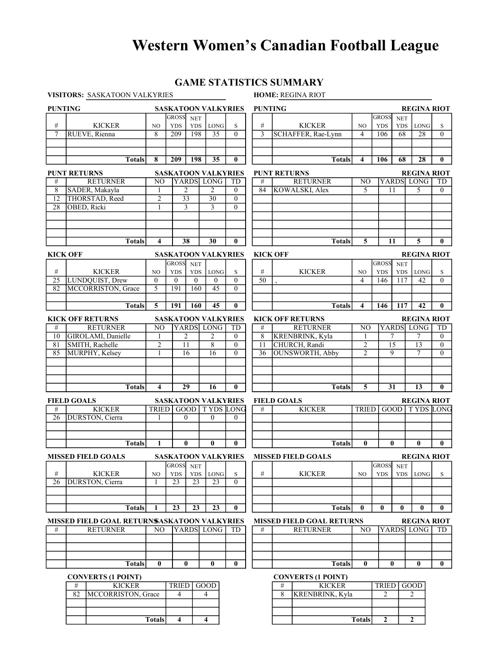# Western Women's Canadian Football League

## GAME STATISTICS SUMMARY

|                 | VISITORS: SASKATOON VALKYRIES               |                |                            |                          |                            |                | <b>HOME: REGINA RIOT</b> |                                  |                                            |                            |                          |                    |                |
|-----------------|---------------------------------------------|----------------|----------------------------|--------------------------|----------------------------|----------------|--------------------------|----------------------------------|--------------------------------------------|----------------------------|--------------------------|--------------------|----------------|
| <b>PUNTING</b>  |                                             |                |                            |                          | <b>SASKATOON VALKYRIES</b> |                | <b>PUNTING</b>           |                                  |                                            |                            |                          | <b>REGINA RIOT</b> |                |
| #               | <b>KICKER</b>                               | NO             | <b>GROSS</b><br><b>YDS</b> | <b>NET</b><br><b>YDS</b> | <b>LONG</b>                | S              | #                        | <b>KICKER</b>                    | N <sub>O</sub>                             | <b>GROSS</b><br><b>YDS</b> | <b>NET</b><br><b>YDS</b> | <b>LONG</b>        |                |
| $\overline{7}$  | RUEVE, Rienna                               | 8              | $\overline{209}$           | 198                      | $\overline{35}$            | $\Omega$       | $\overline{3}$           | SCHAFFER, Rae-Lynn               | $\overline{4}$                             | 106                        | $\overline{68}$          | $\overline{28}$    | S<br>$\theta$  |
|                 |                                             |                |                            |                          |                            |                |                          |                                  |                                            |                            |                          |                    |                |
|                 |                                             |                |                            |                          |                            |                |                          |                                  |                                            |                            |                          |                    |                |
|                 | <b>Totals</b>                               | 8              | 209                        | 198                      | 35                         | $\bf{0}$       |                          | <b>Totals</b>                    | 4                                          | 106                        | 68                       | 28                 | $\mathbf{0}$   |
|                 |                                             |                |                            |                          |                            |                |                          |                                  |                                            |                            |                          |                    |                |
|                 | <b>PUNT RETURNS</b>                         |                |                            |                          | <b>SASKATOON VALKYRIES</b> |                |                          | <b>PUNT RETURNS</b>              |                                            |                            |                          | <b>REGINA RIOT</b> |                |
| #               | <b>RETURNER</b>                             | NO             |                            |                          | YARDS LONG                 | TD             | #                        | <b>RETURNER</b>                  | N <sub>O</sub><br>$\overline{\phantom{0}}$ |                            | <b>YARDS</b>             | <b>LONG</b>        | TD             |
| 8               | SADER, Makayla                              | 1              |                            | $\overline{2}$           | $\overline{2}$             | $\theta$       | 84                       | <b>KOWALSKI</b> , Alex           |                                            |                            | 11                       | 5                  | $\Omega$       |
| 12              | THORSTAD, Reed                              | $\overline{c}$ | $\overline{33}$            |                          | $\overline{30}$            | $\theta$       |                          |                                  |                                            |                            |                          |                    |                |
| 28              | <b>OBED, Ricki</b>                          | 1              |                            | 3                        | 3                          | $\theta$       |                          |                                  |                                            |                            |                          |                    |                |
|                 |                                             |                |                            |                          |                            |                |                          |                                  |                                            |                            |                          |                    |                |
|                 |                                             |                |                            |                          |                            |                |                          |                                  |                                            |                            |                          |                    |                |
|                 |                                             |                |                            |                          |                            |                |                          |                                  |                                            |                            |                          |                    |                |
|                 | <b>Totals</b>                               | 4              |                            | 38                       | 30                         | $\bf{0}$       |                          | <b>Totals</b>                    | 5                                          |                            | 11                       | 5                  | $\mathbf{0}$   |
| <b>KICK OFF</b> |                                             |                |                            |                          | <b>SASKATOON VALKYRIES</b> |                | <b>KICK OFF</b>          |                                  |                                            |                            |                          | <b>REGINA RIOT</b> |                |
|                 |                                             |                | <b>GROSS</b>               | <b>NET</b>               |                            |                |                          |                                  |                                            | <b>GROSS</b>               | <b>NET</b>               |                    |                |
| $\#$            | <b>KICKER</b>                               | N <sub>O</sub> | <b>YDS</b>                 | <b>YDS</b>               | $\rm{LONG}$                | $\mathbf S$    | #                        | <b>KICKER</b>                    | N <sub>O</sub>                             | <b>YDS</b>                 | <b>YDS</b>               | LONG               | S              |
| $\overline{25}$ | LUNDQUIST, Drew                             | $\mathbf{0}$   | $\mathbf{0}$               | $\mathbf{0}$             | $\Omega$                   | $\theta$       | $\overline{50}$          |                                  | 4                                          | 146                        | $\overline{117}$         | 42                 | $\theta$       |
| 82              | <b>MCCORRISTON</b> , Grace                  | 5              | 191                        | 160                      | $\overline{45}$            | $\theta$       |                          |                                  |                                            |                            |                          |                    |                |
|                 |                                             |                |                            |                          |                            |                |                          |                                  |                                            |                            |                          |                    |                |
|                 | <b>Totals</b>                               | 5              | 191                        | 160                      | 45                         | $\bf{0}$       |                          | <b>Totals</b>                    | 4                                          | 146                        | 117                      | 42                 | $\mathbf{0}$   |
|                 |                                             |                |                            |                          |                            |                |                          |                                  |                                            |                            |                          |                    |                |
|                 | <b>KICK OFF RETURNS</b>                     |                |                            |                          | <b>SASKATOON VALKYRIES</b> |                |                          | <b>KICK OFF RETURNS</b>          |                                            |                            |                          | <b>REGINA RIOT</b> |                |
| #               | <b>RETURNER</b>                             | N <sub>O</sub> |                            |                          | YARDS LONG                 | TD             | #                        | <b>RETURNER</b>                  | N <sub>O</sub>                             |                            |                          | YARDS LONG         | TD             |
| 10              | GIROLAMI, Danielle                          | 1              | $\overline{2}$             |                          | 2                          | $\theta$       | 8                        | KRENBRINK, Kyla                  | 1                                          |                            | 7                        | 7                  | $\theta$       |
| 81              | SMITH, Rachelle                             | $\overline{2}$ | $\overline{11}$            | $\overline{8}$           |                            | $\overline{0}$ | $\overline{11}$          | CHURCH, Randi                    | $\overline{2}$                             |                            | $\overline{15}$          | $\overline{13}$    | $\overline{0}$ |
| 85              | MURPHY, Kelsey                              | 1              |                            | 16                       | 16                         | $\Omega$       | 36                       | <b>OUNSWORTH, Abby</b>           | $\overline{2}$                             |                            | 9                        | 7                  | $\theta$       |
|                 |                                             |                |                            |                          |                            |                |                          |                                  |                                            |                            |                          |                    |                |
|                 |                                             |                |                            |                          |                            |                |                          |                                  |                                            |                            |                          |                    |                |
|                 |                                             |                |                            |                          |                            |                |                          |                                  |                                            |                            |                          |                    |                |
|                 | <b>Totals</b>                               | 4              |                            | 29                       | 16                         | $\bf{0}$       |                          | <b>Totals</b>                    | 5                                          |                            | 31                       | 13                 | $\mathbf{0}$   |
|                 | <b>FIELD GOALS</b>                          |                |                            |                          | <b>SASKATOON VALKYRIES</b> |                |                          | <b>FIELD GOALS</b>               |                                            |                            |                          | <b>REGINA RIOT</b> |                |
| #               | <b>KICKER</b>                               | <b>TRIED</b>   |                            |                          | <b>GOOD</b> TYDS LONG      |                | #                        | <b>KICKER</b>                    | <b>TRIED</b>                               |                            | GOOD                     | <b>TYDS LONG</b>   |                |
| 26              | DURSTON, Cierra                             | 1              |                            | $\mathbf{0}$             | $\mathbf{0}$               | $\mathbf{0}$   |                          |                                  |                                            |                            |                          |                    |                |
|                 |                                             |                |                            |                          |                            |                |                          |                                  |                                            |                            |                          |                    |                |
|                 |                                             |                |                            |                          |                            |                |                          |                                  |                                            |                            |                          |                    |                |
|                 | <b>Totals</b>                               | 1              | $\mathbf{0}$               |                          | 0                          | $\bf{0}$       |                          | <b>Totals</b>                    | $\bf{0}$                                   |                            | 0                        | $\mathbf{0}$       | $\mathbf{0}$   |
|                 | <b>MISSED FIELD GOALS</b>                   |                |                            |                          | <b>SASKATOON VALKYRIES</b> |                |                          | <b>MISSED FIELD GOALS</b>        |                                            |                            |                          | <b>REGINA RIOT</b> |                |
|                 |                                             |                | <b>GROSS</b>               | <b>NET</b>               |                            |                |                          |                                  |                                            | <b>GROSS</b>               | <b>NET</b>               |                    |                |
| $\#$            | <b>KICKER</b>                               | NO             | <b>YDS</b>                 | <b>YDS</b>               | $\rm{LONG}$                | S              | #                        | <b>KICKER</b>                    | NO                                         | <b>YDS</b>                 | <b>YDS</b>               | <b>LONG</b>        | S              |
| 26              | DURSTON, Cierra                             |                | 23                         | 23                       | 23                         | $\Omega$       |                          |                                  |                                            |                            |                          |                    |                |
|                 |                                             |                |                            |                          |                            |                |                          |                                  |                                            |                            |                          |                    |                |
|                 |                                             |                |                            |                          |                            |                |                          |                                  |                                            |                            |                          |                    |                |
|                 | <b>Totals</b>                               | 1              | 23                         | 23                       | $\overline{23}$            | $\bf{0}$       |                          | <b>Totals</b>                    | $\bf{0}$                                   | $\mathbf{0}$               | 0                        | $\bf{0}$           | $\bf{0}$       |
|                 | MISSED FIELD GOAL RETURNSASKATOON VALKYRIES |                |                            |                          |                            |                |                          | <b>MISSED FIELD GOAL RETURNS</b> |                                            |                            |                          | <b>REGINA RIOT</b> |                |
| #               | <b>RETURNER</b>                             | NO.            |                            |                          | YARDS LONG                 | TD             | #                        | <b>RETURNER</b>                  | NO                                         |                            |                          | YARDS LONG         | TD.            |
|                 |                                             |                |                            |                          |                            |                |                          |                                  |                                            |                            |                          |                    |                |
|                 |                                             |                |                            |                          |                            |                |                          |                                  |                                            |                            |                          |                    |                |
|                 |                                             |                |                            |                          |                            |                |                          |                                  |                                            |                            |                          |                    |                |
|                 | <b>Totals</b>                               | $\bf{0}$       |                            | $\bf{0}$                 | $\bf{0}$                   | $\bf{0}$       |                          | <b>Totals</b>                    | $\mathbf{0}$                               |                            | $\bf{0}$                 | $\bf{0}$           | $\bf{0}$       |
|                 |                                             |                |                            |                          |                            |                |                          |                                  |                                            |                            |                          |                    |                |
|                 | <b>CONVERTS (1 POINT)</b>                   |                |                            |                          |                            |                |                          | <b>CONVERTS (1 POINT)</b>        |                                            |                            |                          |                    |                |
|                 | <b>KICKER</b><br>#<br>$\overline{82}$       |                | <b>TRIED</b>               |                          | GOOD<br>$\overline{4}$     |                |                          | <b>KICKER</b><br>#               |                                            | TRIED                      |                          | GOOD               |                |
|                 | MCCORRISTON, Grace                          |                | $\overline{4}$             |                          |                            |                |                          | 8<br>KRENBRINK, Kyla             |                                            | 2                          |                          | 2                  |                |

2 2

Totals

82 MCCORRISTON, Grace 4 4 Totals 4 4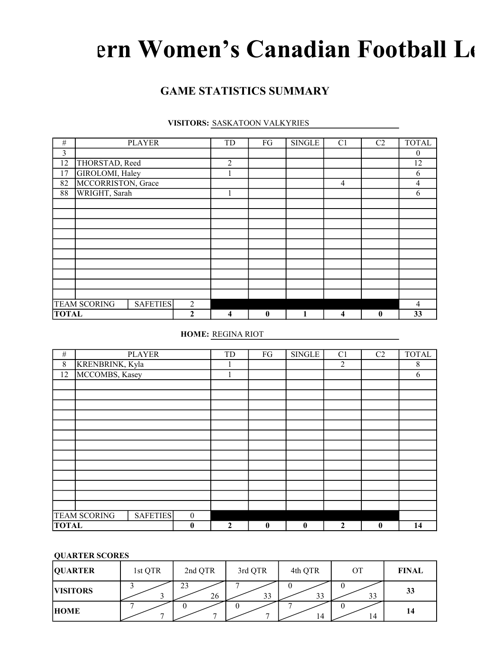# ern Women's Canadian Football Le

# GAME STATISTICS SUMMARY

#### VISITORS: SASKATOON VALKYRIES

| $\#$         |                     | <b>PLAYER</b>   |              | TD             | FG           | <b>SINGLE</b> | C1             | C2           | <b>TOTAL</b>   |
|--------------|---------------------|-----------------|--------------|----------------|--------------|---------------|----------------|--------------|----------------|
| 3            |                     |                 |              |                |              |               |                |              | $\mathbf{0}$   |
| 12           | THORSTAD, Reed      |                 |              | $\overline{2}$ |              |               |                |              | 12             |
| 17           | GIROLOMI, Haley     |                 |              |                |              |               |                |              | 6              |
| 82           | MCCORRISTON, Grace  |                 |              |                |              |               | $\overline{4}$ |              | 4              |
| 88           | WRIGHT, Sarah       |                 |              | $\mathbf{1}$   |              |               |                |              | 6              |
|              |                     |                 |              |                |              |               |                |              |                |
|              |                     |                 |              |                |              |               |                |              |                |
|              |                     |                 |              |                |              |               |                |              |                |
|              |                     |                 |              |                |              |               |                |              |                |
|              |                     |                 |              |                |              |               |                |              |                |
|              |                     |                 |              |                |              |               |                |              |                |
|              |                     |                 |              |                |              |               |                |              |                |
|              |                     |                 |              |                |              |               |                |              |                |
|              |                     |                 |              |                |              |               |                |              |                |
|              |                     |                 |              |                |              |               |                |              |                |
|              | <b>TEAM SCORING</b> | <b>SAFETIES</b> | 2            |                |              |               |                |              | $\overline{4}$ |
| <b>TOTAL</b> |                     |                 | $\mathbf{2}$ | 4              | $\mathbf{0}$ |               | 4              | $\mathbf{0}$ | 33             |

### HOME: REGINA RIOT

| $\#$         |                     | <b>PLAYER</b>   |                  | TD           | FG       | <b>SINGLE</b> | C <sub>1</sub>   | C2               | <b>TOTAL</b> |
|--------------|---------------------|-----------------|------------------|--------------|----------|---------------|------------------|------------------|--------------|
| 8            | KRENBRINK, Kyla     |                 |                  |              |          |               | 2                |                  | 8            |
| 12           | MCCOMBS, Kasey      |                 |                  |              |          |               |                  |                  | 6            |
|              |                     |                 |                  |              |          |               |                  |                  |              |
|              |                     |                 |                  |              |          |               |                  |                  |              |
|              |                     |                 |                  |              |          |               |                  |                  |              |
|              |                     |                 |                  |              |          |               |                  |                  |              |
|              |                     |                 |                  |              |          |               |                  |                  |              |
|              |                     |                 |                  |              |          |               |                  |                  |              |
|              |                     |                 |                  |              |          |               |                  |                  |              |
|              |                     |                 |                  |              |          |               |                  |                  |              |
|              |                     |                 |                  |              |          |               |                  |                  |              |
|              |                     |                 |                  |              |          |               |                  |                  |              |
|              |                     |                 |                  |              |          |               |                  |                  |              |
|              |                     |                 |                  |              |          |               |                  |                  |              |
|              |                     |                 |                  |              |          |               |                  |                  |              |
|              | <b>TEAM SCORING</b> | <b>SAFETIES</b> | $\boldsymbol{0}$ |              |          |               |                  |                  |              |
| <b>TOTAL</b> |                     |                 | $\bf{0}$         | $\mathbf{2}$ | $\bf{0}$ | $\mathbf{0}$  | $\boldsymbol{2}$ | $\boldsymbol{0}$ | 14           |

#### QUARTER SCORES

| <b>QUARTER</b>  | 1st QTR | 2nd QTR  | 3rd QTR | 4th QTR | ОT | <b>FINAL</b> |
|-----------------|---------|----------|---------|---------|----|--------------|
| <b>VISITORS</b> |         | 23<br>26 | 33      | 33      | 33 | 33           |
| <b>HOME</b>     |         |          |         | 14      | 14 | 14           |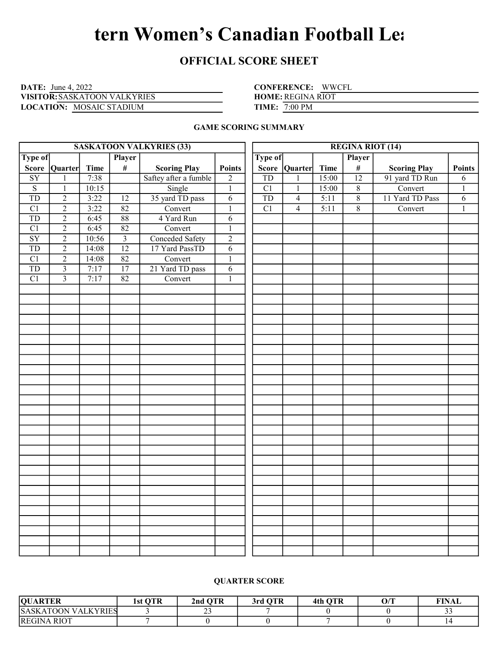# tern Women's Canadian Football Lea

## OFFICIAL SCORE SHEET

DATE: June 4, 2022 CONFERENCE: VISITOR: SASKATOON VALKYRIES HOME: LOCATION: MOSAIC STADIUM TIME:

CONFERENCE: WWCFL

HOME: REGINA RIOT

**TIME:** 7:00 PM

#### GAME SCORING SUMMARY

|                        |                |       |                 | <b>SASKATOON VALKYRIES (33)</b> |                |                 |                | <b>REGINA RIOT (14)</b> |                 |                     |                |
|------------------------|----------------|-------|-----------------|---------------------------------|----------------|-----------------|----------------|-------------------------|-----------------|---------------------|----------------|
| <b>Type of</b>         |                |       | <b>Player</b>   |                                 | <b>Type of</b> |                 |                | Player                  |                 |                     |                |
|                        | Score Quarter  | Time  | $\#$            | <b>Scoring Play</b>             | <b>Points</b>  |                 | Score Quarter  | <b>Time</b>             | $\#$            | <b>Scoring Play</b> | <b>Points</b>  |
| $\overline{SY}$        | $\mathbf{1}$   | 7:38  |                 | Saftey after a fumble           | $\overline{c}$ | <b>TD</b>       | $\mathbf{1}$   | 15:00                   | $\overline{12}$ | 91 yard TD Run      | 6              |
| $\overline{S}$         | $\mathbf{1}$   | 10:15 |                 | Single                          | $\mathbf{1}$   | C1              | $\mathbf{1}$   | 15:00                   | $8\,$           | Convert             | $\mathbf{1}$   |
| <b>TD</b>              | $\overline{2}$ | 3:22  | $\overline{12}$ | 35 yard TD pass                 | $\overline{6}$ | TD              | $\overline{4}$ | 5:11                    | $8$             | 11 Yard TD Pass     | $\overline{6}$ |
| $\overline{C1}$        | $\overline{2}$ | 3:22  | 82              | Convert                         | $\mathbf{1}$   | $\overline{C1}$ | $\overline{4}$ | 5:11                    | $\overline{8}$  | Convert             | $\mathbf{1}$   |
| <b>TD</b>              | $\overline{2}$ | 6:45  | $\overline{88}$ | 4 Yard Run                      | $\overline{6}$ |                 |                |                         |                 |                     |                |
| $\overline{C1}$        | $\overline{2}$ | 6:45  | 82              | Convert                         | $\mathbf{1}$   |                 |                |                         |                 |                     |                |
| $\overline{\text{SY}}$ | $\overline{2}$ | 10:56 | $\overline{3}$  | <b>Conceded Safety</b>          | $\overline{2}$ |                 |                |                         |                 |                     |                |
| <b>TD</b>              | $\overline{2}$ | 14:08 | $\overline{12}$ | 17 Yard PassTD                  | $\overline{6}$ |                 |                |                         |                 |                     |                |
| $\overline{C1}$        | $\overline{2}$ | 14:08 | 82              | Convert                         | $\overline{1}$ |                 |                |                         |                 |                     |                |
| $\overline{TD}$        | $\overline{3}$ | 7:17  | $\overline{17}$ | 21 Yard TD pass                 | $\overline{6}$ |                 |                |                         |                 |                     |                |
| $\overline{C1}$        | $\overline{3}$ | 7:17  | $\overline{82}$ | Convert                         | $\overline{1}$ |                 |                |                         |                 |                     |                |
|                        |                |       |                 |                                 |                |                 |                |                         |                 |                     |                |
|                        |                |       |                 |                                 |                |                 |                |                         |                 |                     |                |
|                        |                |       |                 |                                 |                |                 |                |                         |                 |                     |                |
|                        |                |       |                 |                                 |                |                 |                |                         |                 |                     |                |
|                        |                |       |                 |                                 |                |                 |                |                         |                 |                     |                |
|                        |                |       |                 |                                 |                |                 |                |                         |                 |                     |                |
|                        |                |       |                 |                                 |                |                 |                |                         |                 |                     |                |
|                        |                |       |                 |                                 |                |                 |                |                         |                 |                     |                |
|                        |                |       |                 |                                 |                |                 |                |                         |                 |                     |                |
|                        |                |       |                 |                                 |                |                 |                |                         |                 |                     |                |
|                        |                |       |                 |                                 |                |                 |                |                         |                 |                     |                |
|                        |                |       |                 |                                 |                |                 |                |                         |                 |                     |                |
|                        |                |       |                 |                                 |                |                 |                |                         |                 |                     |                |
|                        |                |       |                 |                                 |                |                 |                |                         |                 |                     |                |
|                        |                |       |                 |                                 |                |                 |                |                         |                 |                     |                |
|                        |                |       |                 |                                 |                |                 |                |                         |                 |                     |                |
|                        |                |       |                 |                                 |                |                 |                |                         |                 |                     |                |
|                        |                |       |                 |                                 |                |                 |                |                         |                 |                     |                |
|                        |                |       |                 |                                 |                |                 |                |                         |                 |                     |                |
|                        |                |       |                 |                                 |                |                 |                |                         |                 |                     |                |
|                        |                |       |                 |                                 |                |                 |                |                         |                 |                     |                |
|                        |                |       |                 |                                 |                |                 |                |                         |                 |                     |                |
|                        |                |       |                 |                                 |                |                 |                |                         |                 |                     |                |
|                        |                |       |                 |                                 |                |                 |                |                         |                 |                     |                |
|                        |                |       |                 |                                 |                |                 |                |                         |                 |                     |                |
|                        |                |       |                 |                                 |                |                 |                |                         |                 |                     |                |
|                        |                |       |                 |                                 |                |                 |                |                         |                 |                     |                |

#### QUARTER SCORE

| <b>OUARTER</b>             | OTR<br>1st | <b>OTR</b><br>2nd    | 3rd OTR | 4th OTR | O/T | <b>FINAL</b> |
|----------------------------|------------|----------------------|---------|---------|-----|--------------|
| <b>SASKATOON VALKYRIES</b> |            | $\sim$ $\sim$<br>ر ر |         |         |     | ر ر          |
| <b>REGINA RIOT</b>         |            |                      |         |         |     |              |